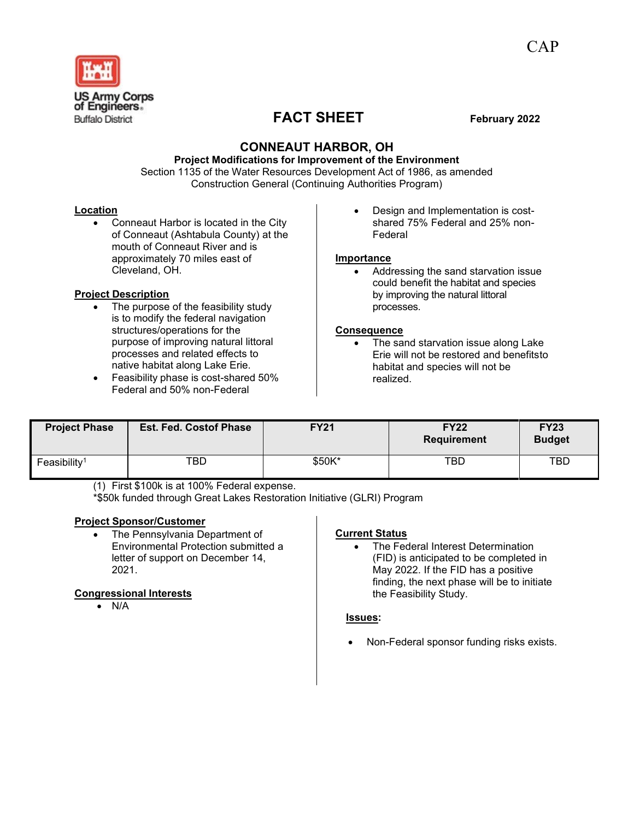

# **FACT SHEET February 2022**

# **CONNEAUT HARBOR, OH**

# **Project Modifications for Improvement of the Environment**

Section 1135 of the Water Resources Development Act of 1986, as amended Construction General (Continuing Authorities Program)

### **Location**

• Conneaut Harbor is located in the City of Conneaut (Ashtabula County) at the mouth of Conneaut River and is approximately 70 miles east of Cleveland, OH.

### **Project Description**

- The purpose of the feasibility study is to modify the federal navigation structures/operations for the purpose of improving natural littoral processes and related effects to native habitat along Lake Erie.
- Feasibility phase is cost-shared 50% Federal and 50% non-Federal

• Design and Implementation is costshared 75% Federal and 25% non-Federal

#### **Importance**

• Addressing the sand starvation issue could benefit the habitat and species by improving the natural littoral processes.

#### **Consequence**

The sand starvation issue along Lake Erie will not be restored and benefitsto habitat and species will not be realized.

| <b>Project Phase</b>     | <b>Est. Fed. Costof Phase</b> | <b>FY21</b> | <b>FY22</b><br><b>Requirement</b> | <b>FY23</b><br><b>Budget</b> |
|--------------------------|-------------------------------|-------------|-----------------------------------|------------------------------|
| Feasibility <sup>1</sup> | TBD                           | \$50K*      | TBD                               | TBD                          |

(1) First \$100k is at 100% Federal expense.

\*\$50k funded through Great Lakes Restoration Initiative (GLRI) Program

# **Project Sponsor/Customer**

The Pennsylvania Department of Environmental Protection submitted a letter of support on December 14, 2021.

# **Congressional Interests**

• N/A

# **Current Status**

The Federal Interest Determination (FID) is anticipated to be completed in May 2022. If the FID has a positive finding, the next phase will be to initiate the Feasibility Study.

#### **Issues:**

• Non-Federal sponsor funding risks exists.